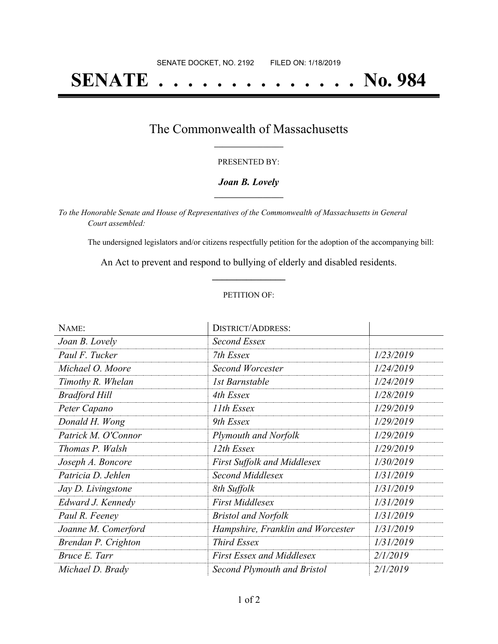# **SENATE . . . . . . . . . . . . . . No. 984**

### The Commonwealth of Massachusetts **\_\_\_\_\_\_\_\_\_\_\_\_\_\_\_\_\_**

#### PRESENTED BY:

#### *Joan B. Lovely* **\_\_\_\_\_\_\_\_\_\_\_\_\_\_\_\_\_**

*To the Honorable Senate and House of Representatives of the Commonwealth of Massachusetts in General Court assembled:*

The undersigned legislators and/or citizens respectfully petition for the adoption of the accompanying bill:

An Act to prevent and respond to bullying of elderly and disabled residents. **\_\_\_\_\_\_\_\_\_\_\_\_\_\_\_**

#### PETITION OF:

| NAME:                | <b>DISTRICT/ADDRESS:</b>           |           |
|----------------------|------------------------------------|-----------|
| Joan B. Lovely       | Second Essex                       |           |
| Paul F. Tucker       | 7th Essex                          | 1/23/2019 |
| Michael O. Moore     | <b>Second Worcester</b>            | 1/24/2019 |
| Timothy R. Whelan    | 1st Barnstable                     | 1/24/2019 |
| <b>Bradford Hill</b> | 4th Essex                          | 1/28/2019 |
| Peter Capano         | 11th Essex                         | 1/29/2019 |
| Donald H. Wong       | 9th Essex                          | 1/29/2019 |
| Patrick M. O'Connor  | <b>Plymouth and Norfolk</b>        | 1/29/2019 |
| Thomas P. Walsh      | 12th Essex                         | 1/29/2019 |
| Joseph A. Boncore    | <b>First Suffolk and Middlesex</b> | 1/30/2019 |
| Patricia D. Jehlen   | Second Middlesex                   | 1/31/2019 |
| Jay D. Livingstone   | 8th Suffolk                        | 1/31/2019 |
| Edward J. Kennedy    | <b>First Middlesex</b>             | 1/31/2019 |
| Paul R. Feeney       | <b>Bristol and Norfolk</b>         | 1/31/2019 |
| Joanne M. Comerford  | Hampshire, Franklin and Worcester  | 1/31/2019 |
| Brendan P. Crighton  | <b>Third Essex</b>                 | 1/31/2019 |
| Bruce E. Tarr        | <b>First Essex and Middlesex</b>   | 2/1/2019  |
| Michael D. Brady     | Second Plymouth and Bristol        | 2/1/2019  |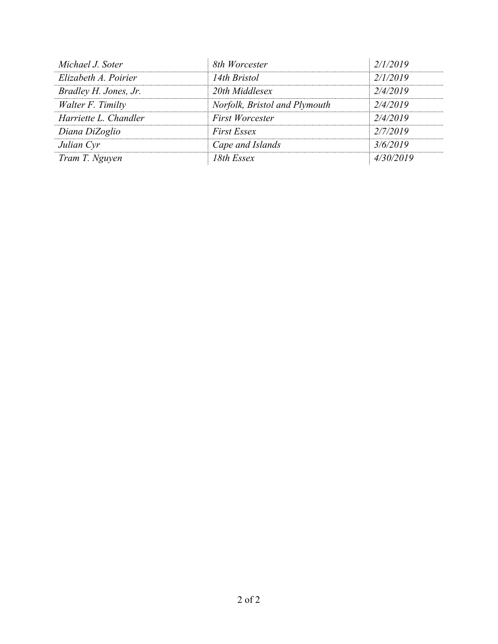| Michael J. Soter      | 8th Worcester                 | 2/1/2019  |
|-----------------------|-------------------------------|-----------|
| Elizabeth A. Poirier  | 14th Bristol                  | 2/1/2019  |
| Bradley H. Jones, Jr. | 20th Middlesex                | 2/4/2019  |
| Walter F. Timilty     | Norfolk, Bristol and Plymouth | 2/4/2019  |
| Harriette L. Chandler | <b>First Worcester</b>        | 2/4/2019  |
| Diana DiZoglio        | <b>First Essex</b>            | 2/7/2019  |
| Julian Cyr            | Cape and Islands              | 3/6/2019  |
| Tram T. Nguyen        | 18th Essex                    | 4/30/2019 |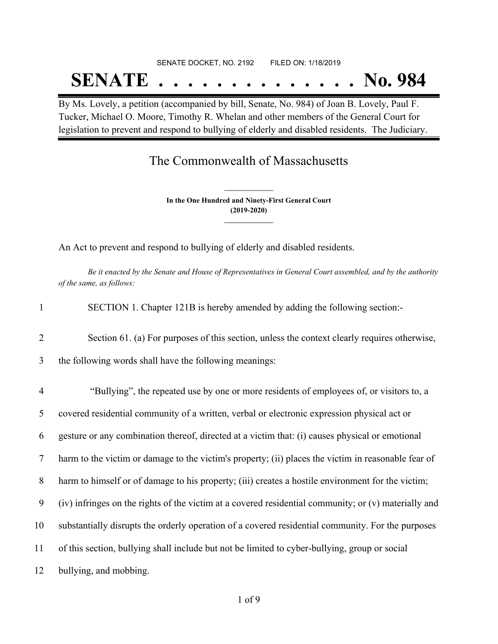# SENATE DOCKET, NO. 2192 FILED ON: 1/18/2019 **SENATE . . . . . . . . . . . . . . No. 984**

By Ms. Lovely, a petition (accompanied by bill, Senate, No. 984) of Joan B. Lovely, Paul F. Tucker, Michael O. Moore, Timothy R. Whelan and other members of the General Court for legislation to prevent and respond to bullying of elderly and disabled residents. The Judiciary.

## The Commonwealth of Massachusetts

**In the One Hundred and Ninety-First General Court (2019-2020) \_\_\_\_\_\_\_\_\_\_\_\_\_\_\_**

**\_\_\_\_\_\_\_\_\_\_\_\_\_\_\_**

An Act to prevent and respond to bullying of elderly and disabled residents.

Be it enacted by the Senate and House of Representatives in General Court assembled, and by the authority *of the same, as follows:*

| SECTION 1. Chapter 121B is hereby amended by adding the following section:- |
|-----------------------------------------------------------------------------|
|                                                                             |

2 Section 61. (a) For purposes of this section, unless the context clearly requires otherwise,

3 the following words shall have the following meanings:

 "Bullying", the repeated use by one or more residents of employees of, or visitors to, a covered residential community of a written, verbal or electronic expression physical act or gesture or any combination thereof, directed at a victim that: (i) causes physical or emotional harm to the victim or damage to the victim's property; (ii) places the victim in reasonable fear of 8 harm to himself or of damage to his property; (iii) creates a hostile environment for the victim; (iv) infringes on the rights of the victim at a covered residential community; or (v) materially and substantially disrupts the orderly operation of a covered residential community. For the purposes of this section, bullying shall include but not be limited to cyber-bullying, group or social bullying, and mobbing.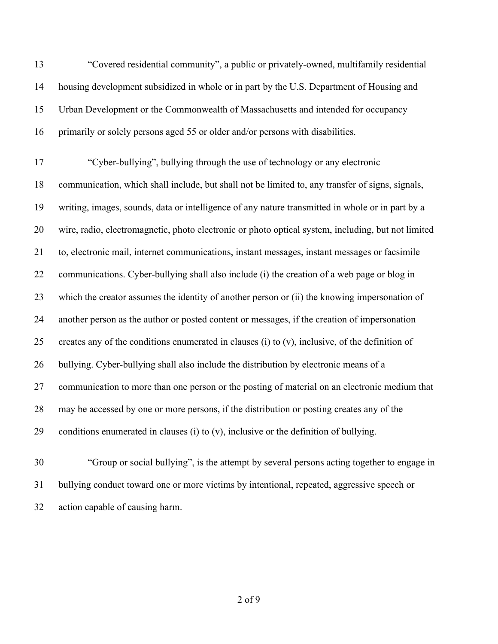"Covered residential community", a public or privately-owned, multifamily residential housing development subsidized in whole or in part by the U.S. Department of Housing and Urban Development or the Commonwealth of Massachusetts and intended for occupancy primarily or solely persons aged 55 or older and/or persons with disabilities.

 "Cyber-bullying", bullying through the use of technology or any electronic communication, which shall include, but shall not be limited to, any transfer of signs, signals, writing, images, sounds, data or intelligence of any nature transmitted in whole or in part by a wire, radio, electromagnetic, photo electronic or photo optical system, including, but not limited to, electronic mail, internet communications, instant messages, instant messages or facsimile communications. Cyber-bullying shall also include (i) the creation of a web page or blog in which the creator assumes the identity of another person or (ii) the knowing impersonation of another person as the author or posted content or messages, if the creation of impersonation 25 creates any of the conditions enumerated in clauses (i) to  $(v)$ , inclusive, of the definition of bullying. Cyber-bullying shall also include the distribution by electronic means of a communication to more than one person or the posting of material on an electronic medium that may be accessed by one or more persons, if the distribution or posting creates any of the 29 conditions enumerated in clauses (i) to  $(v)$ , inclusive or the definition of bullying.

 "Group or social bullying", is the attempt by several persons acting together to engage in bullying conduct toward one or more victims by intentional, repeated, aggressive speech or action capable of causing harm.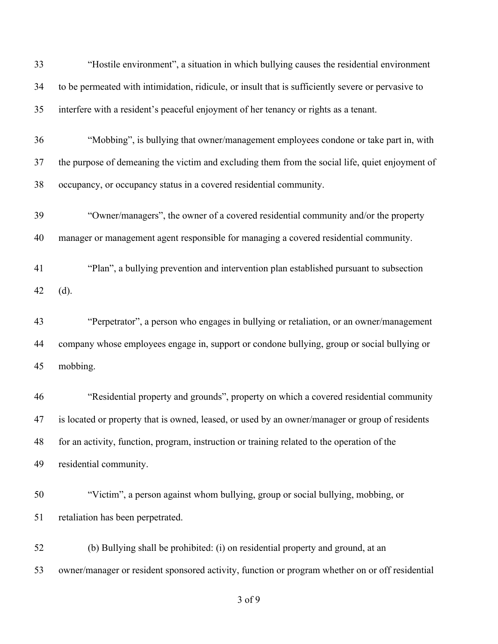| 33 | "Hostile environment", a situation in which bullying causes the residential environment            |
|----|----------------------------------------------------------------------------------------------------|
| 34 | to be permeated with intimidation, ridicule, or insult that is sufficiently severe or pervasive to |
| 35 | interfere with a resident's peaceful enjoyment of her tenancy or rights as a tenant.               |
| 36 | "Mobbing", is bullying that owner/management employees condone or take part in, with               |
| 37 | the purpose of demeaning the victim and excluding them from the social life, quiet enjoyment of    |
| 38 | occupancy, or occupancy status in a covered residential community.                                 |
| 39 | "Owner/managers", the owner of a covered residential community and/or the property                 |
| 40 | manager or management agent responsible for managing a covered residential community.              |
| 41 | "Plan", a bullying prevention and intervention plan established pursuant to subsection             |
| 42 | (d).                                                                                               |
| 43 | "Perpetrator", a person who engages in bullying or retaliation, or an owner/management             |
| 44 | company whose employees engage in, support or condone bullying, group or social bullying or        |
| 45 | mobbing.                                                                                           |
| 46 | "Residential property and grounds", property on which a covered residential community              |
| 47 | is located or property that is owned, leased, or used by an owner/manager or group of residents    |
| 48 | for an activity, function, program, instruction or training related to the operation of the        |
| 49 | residential community.                                                                             |
| 50 | "Victim", a person against whom bullying, group or social bullying, mobbing, or                    |
| 51 | retaliation has been perpetrated.                                                                  |
| 52 | (b) Bullying shall be prohibited: (i) on residential property and ground, at an                    |
| 53 | owner/manager or resident sponsored activity, function or program whether on or off residential    |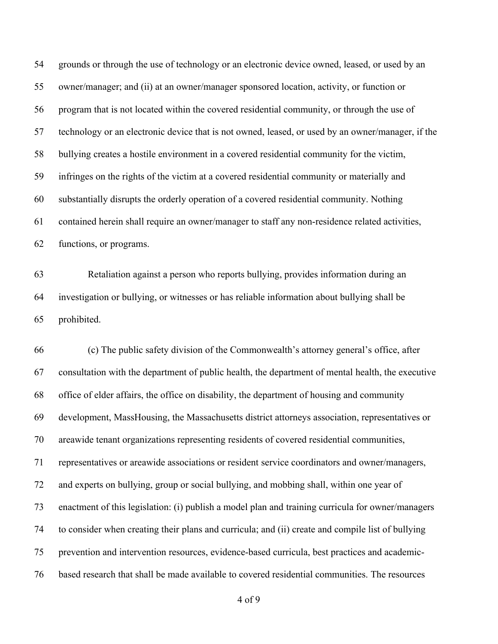grounds or through the use of technology or an electronic device owned, leased, or used by an owner/manager; and (ii) at an owner/manager sponsored location, activity, or function or program that is not located within the covered residential community, or through the use of technology or an electronic device that is not owned, leased, or used by an owner/manager, if the bullying creates a hostile environment in a covered residential community for the victim, infringes on the rights of the victim at a covered residential community or materially and substantially disrupts the orderly operation of a covered residential community. Nothing contained herein shall require an owner/manager to staff any non-residence related activities, functions, or programs.

 Retaliation against a person who reports bullying, provides information during an investigation or bullying, or witnesses or has reliable information about bullying shall be prohibited.

 (c) The public safety division of the Commonwealth's attorney general's office, after consultation with the department of public health, the department of mental health, the executive office of elder affairs, the office on disability, the department of housing and community development, MassHousing, the Massachusetts district attorneys association, representatives or areawide tenant organizations representing residents of covered residential communities, representatives or areawide associations or resident service coordinators and owner/managers, and experts on bullying, group or social bullying, and mobbing shall, within one year of enactment of this legislation: (i) publish a model plan and training curricula for owner/managers to consider when creating their plans and curricula; and (ii) create and compile list of bullying prevention and intervention resources, evidence-based curricula, best practices and academic-based research that shall be made available to covered residential communities. The resources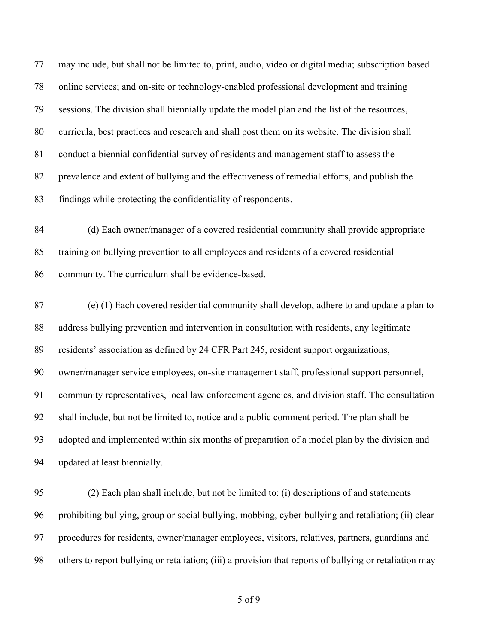may include, but shall not be limited to, print, audio, video or digital media; subscription based online services; and on-site or technology-enabled professional development and training sessions. The division shall biennially update the model plan and the list of the resources, curricula, best practices and research and shall post them on its website. The division shall conduct a biennial confidential survey of residents and management staff to assess the prevalence and extent of bullying and the effectiveness of remedial efforts, and publish the findings while protecting the confidentiality of respondents.

 (d) Each owner/manager of a covered residential community shall provide appropriate training on bullying prevention to all employees and residents of a covered residential community. The curriculum shall be evidence-based.

 (e) (1) Each covered residential community shall develop, adhere to and update a plan to address bullying prevention and intervention in consultation with residents, any legitimate residents' association as defined by 24 CFR Part 245, resident support organizations, owner/manager service employees, on-site management staff, professional support personnel, community representatives, local law enforcement agencies, and division staff. The consultation shall include, but not be limited to, notice and a public comment period. The plan shall be adopted and implemented within six months of preparation of a model plan by the division and updated at least biennially.

 (2) Each plan shall include, but not be limited to: (i) descriptions of and statements prohibiting bullying, group or social bullying, mobbing, cyber-bullying and retaliation; (ii) clear procedures for residents, owner/manager employees, visitors, relatives, partners, guardians and others to report bullying or retaliation; (iii) a provision that reports of bullying or retaliation may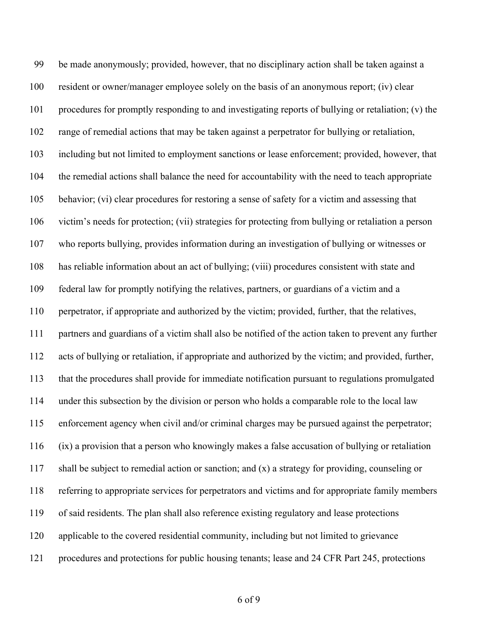be made anonymously; provided, however, that no disciplinary action shall be taken against a resident or owner/manager employee solely on the basis of an anonymous report; (iv) clear procedures for promptly responding to and investigating reports of bullying or retaliation; (v) the range of remedial actions that may be taken against a perpetrator for bullying or retaliation, including but not limited to employment sanctions or lease enforcement; provided, however, that the remedial actions shall balance the need for accountability with the need to teach appropriate behavior; (vi) clear procedures for restoring a sense of safety for a victim and assessing that victim's needs for protection; (vii) strategies for protecting from bullying or retaliation a person who reports bullying, provides information during an investigation of bullying or witnesses or has reliable information about an act of bullying; (viii) procedures consistent with state and federal law for promptly notifying the relatives, partners, or guardians of a victim and a perpetrator, if appropriate and authorized by the victim; provided, further, that the relatives, partners and guardians of a victim shall also be notified of the action taken to prevent any further acts of bullying or retaliation, if appropriate and authorized by the victim; and provided, further, that the procedures shall provide for immediate notification pursuant to regulations promulgated under this subsection by the division or person who holds a comparable role to the local law enforcement agency when civil and/or criminal charges may be pursued against the perpetrator; (ix) a provision that a person who knowingly makes a false accusation of bullying or retaliation shall be subject to remedial action or sanction; and (x) a strategy for providing, counseling or referring to appropriate services for perpetrators and victims and for appropriate family members of said residents. The plan shall also reference existing regulatory and lease protections applicable to the covered residential community, including but not limited to grievance procedures and protections for public housing tenants; lease and 24 CFR Part 245, protections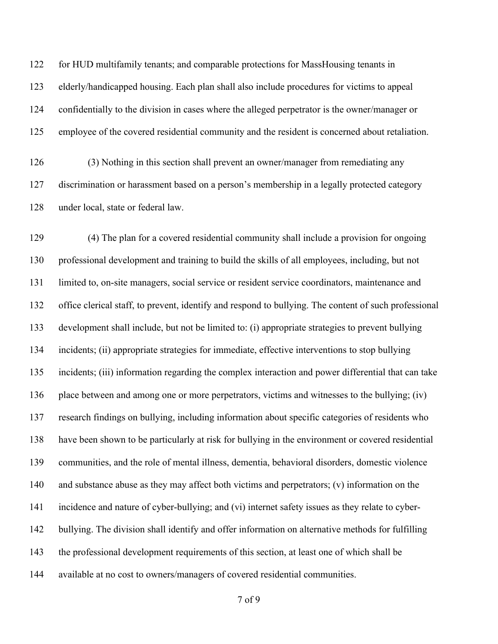122 for HUD multifamily tenants; and comparable protections for MassHousing tenants in elderly/handicapped housing. Each plan shall also include procedures for victims to appeal confidentially to the division in cases where the alleged perpetrator is the owner/manager or employee of the covered residential community and the resident is concerned about retaliation.

 (3) Nothing in this section shall prevent an owner/manager from remediating any discrimination or harassment based on a person's membership in a legally protected category under local, state or federal law.

 (4) The plan for a covered residential community shall include a provision for ongoing professional development and training to build the skills of all employees, including, but not limited to, on-site managers, social service or resident service coordinators, maintenance and office clerical staff, to prevent, identify and respond to bullying. The content of such professional development shall include, but not be limited to: (i) appropriate strategies to prevent bullying incidents; (ii) appropriate strategies for immediate, effective interventions to stop bullying incidents; (iii) information regarding the complex interaction and power differential that can take place between and among one or more perpetrators, victims and witnesses to the bullying; (iv) research findings on bullying, including information about specific categories of residents who have been shown to be particularly at risk for bullying in the environment or covered residential communities, and the role of mental illness, dementia, behavioral disorders, domestic violence 140 and substance abuse as they may affect both victims and perpetrators; (v) information on the incidence and nature of cyber-bullying; and (vi) internet safety issues as they relate to cyber- bullying. The division shall identify and offer information on alternative methods for fulfilling the professional development requirements of this section, at least one of which shall be available at no cost to owners/managers of covered residential communities.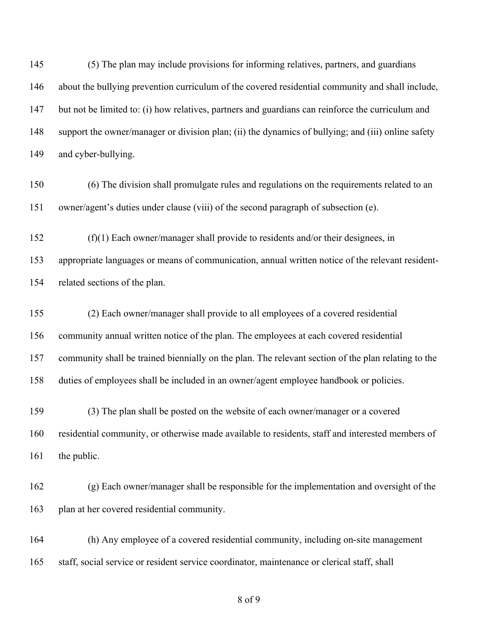(5) The plan may include provisions for informing relatives, partners, and guardians about the bullying prevention curriculum of the covered residential community and shall include, but not be limited to: (i) how relatives, partners and guardians can reinforce the curriculum and support the owner/manager or division plan; (ii) the dynamics of bullying; and (iii) online safety and cyber-bullying.

 (6) The division shall promulgate rules and regulations on the requirements related to an owner/agent's duties under clause (viii) of the second paragraph of subsection (e).

 (f)(1) Each owner/manager shall provide to residents and/or their designees, in appropriate languages or means of communication, annual written notice of the relevant resident-related sections of the plan.

 (2) Each owner/manager shall provide to all employees of a covered residential community annual written notice of the plan. The employees at each covered residential community shall be trained biennially on the plan. The relevant section of the plan relating to the duties of employees shall be included in an owner/agent employee handbook or policies.

 (3) The plan shall be posted on the website of each owner/manager or a covered residential community, or otherwise made available to residents, staff and interested members of 161 the public.

 (g) Each owner/manager shall be responsible for the implementation and oversight of the plan at her covered residential community.

 (h) Any employee of a covered residential community, including on-site management staff, social service or resident service coordinator, maintenance or clerical staff, shall